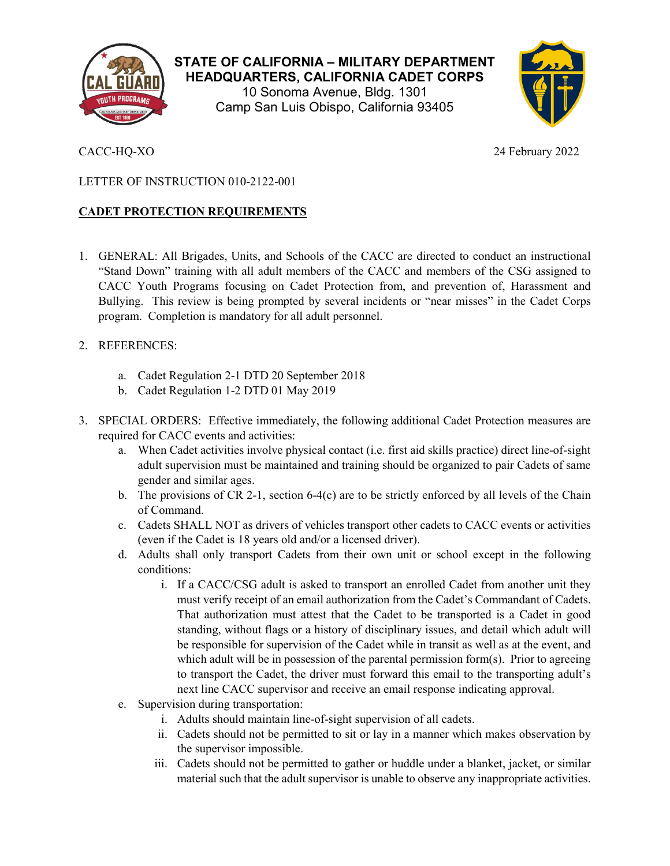

**STATE OF CALIFORNIA – MILITARY DEPARTMENT HEADQUARTERS, CALIFORNIA CADET CORPS** 10 Sonoma Avenue, Bldg. 1301 Camp San Luis Obispo, California 93405



CACC-HQ-XO 24 February 2022

## LETTER OF INSTRUCTION 010-2122-001

## **CADET PROTECTION REQUIREMENTS**

- 1. GENERAL: All Brigades, Units, and Schools of the CACC are directed to conduct an instructional "Stand Down" training with all adult members of the CACC and members of the CSG assigned to CACC Youth Programs focusing on Cadet Protection from, and prevention of, Harassment and Bullying. This review is being prompted by several incidents or "near misses" in the Cadet Corps program. Completion is mandatory for all adult personnel.
- 2. REFERENCES:
	- a. Cadet Regulation 2-1 DTD 20 September 2018
	- b. Cadet Regulation 1-2 DTD 01 May 2019
- 3. SPECIAL ORDERS: Effective immediately, the following additional Cadet Protection measures are required for CACC events and activities:
	- a. When Cadet activities involve physical contact (i.e. first aid skills practice) direct line-of-sight adult supervision must be maintained and training should be organized to pair Cadets of same gender and similar ages.
	- b. The provisions of CR 2-1, section 6-4(c) are to be strictly enforced by all levels of the Chain of Command.
	- c. Cadets SHALL NOT as drivers of vehicles transport other cadets to CACC events or activities (even if the Cadet is 18 years old and/or a licensed driver).
	- d. Adults shall only transport Cadets from their own unit or school except in the following conditions:
		- i. If a CACC/CSG adult is asked to transport an enrolled Cadet from another unit they must verify receipt of an email authorization from the Cadet's Commandant of Cadets. That authorization must attest that the Cadet to be transported is a Cadet in good standing, without flags or a history of disciplinary issues, and detail which adult will be responsible for supervision of the Cadet while in transit as well as at the event, and which adult will be in possession of the parental permission form(s). Prior to agreeing to transport the Cadet, the driver must forward this email to the transporting adult's next line CACC supervisor and receive an email response indicating approval.
	- e. Supervision during transportation:
		- i. Adults should maintain line-of-sight supervision of all cadets.
		- ii. Cadets should not be permitted to sit or lay in a manner which makes observation by the supervisor impossible.
		- iii. Cadets should not be permitted to gather or huddle under a blanket, jacket, or similar material such that the adult supervisor is unable to observe any inappropriate activities.